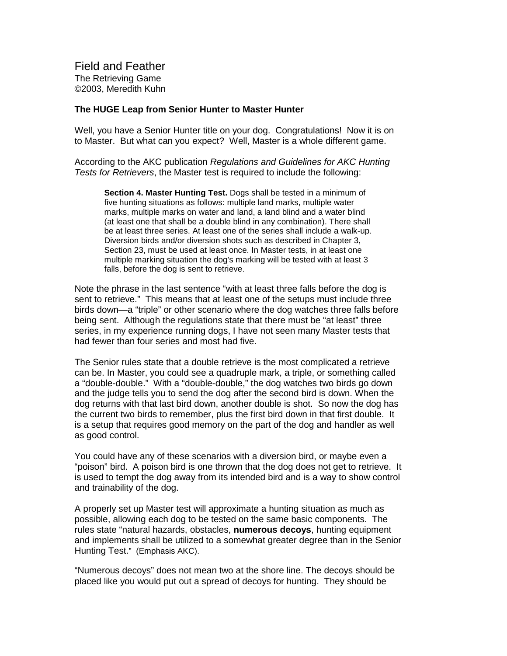**Field and Feather The Retrieving Game** ©2003, Meredith Kuhn

## **The HUGE Leap from Senior Hunter to Master Hunter**

Well, you have a Senior Hunter title on your dog. Congratulations! Now it is on to Master. But what can youe xpect? Well, Master is a wholed ifferent game.

According to the AKC publication Regulations and Guidelines for AKC Hunting Testsfor Retrievers, the Mastertestis required to include the following:

**Section 4. Master Hunting Test.** Dogsshall be tested in a minimum of fivehuntingsit uationsasfollows: multiple land marks, multiple water marks, multiple marks on water and land, a land blind and a water blind (at least one that shall be a double blind in any combination). The reshall be at least three series. At least one of the series shall include a walk -up. Diversion birds and/ordiversion shots such as described in Chapter 3, Section 23, must be used at least once. In Master tests, in at least one multiple marking situation the dog's marking will be tested with at least 3 falls, bef ore the dog is sent to retrieve.

Note the phrase in the last sentence "with at least three falls before the dog is senttoretrieve." This means that at least one of the setups must include three birds down - a "triple" or other scenariow here the dog watc hes three falls before being sent. Although the regulations state that the remust be "at least" three series, in my experience running dogs, I have not seen many Master test sthat had fewer than four series and most had five.

The Senior rules state that adouble retrieve is the most complicated are trieve canbe. In Master, you could see a quadruple mark, a triple, or some thing called a "double -double." With a "double -double," the dog watch est wo birds godown and the judge tells you to send the dog afte r the second bird is down. When the dog returns with that last bird down, another double is shot. So now the dog has the current two bird storemember, plus the first bird down in that first double. It is a setup that requires good memory on the part of the dog and handler as well asgoodcontrol.

You could have any of the sescenarios with a diversion bird, or may be even a "poison" bird. A poison bird is one thrown that the dog does not get to retrieve. It is used to tempt the dog away from its intende discussed to induced to show control and trainability of the dog.

A properly set up Master test will approximate a hunting situation as much as possible, allowing each dog to be tested on the same basic components. The rules state " natural hazards, obstac les, numerous decoys, hunting equipment and implements shall be utilized to asome what greater degree than in the Senior Hunting Test. "(Emphasis AKC).

"Numerous decoys" does not mean two at the shore line. The decoys should be placed like you would put out a spread of decoys for hunting. The y should be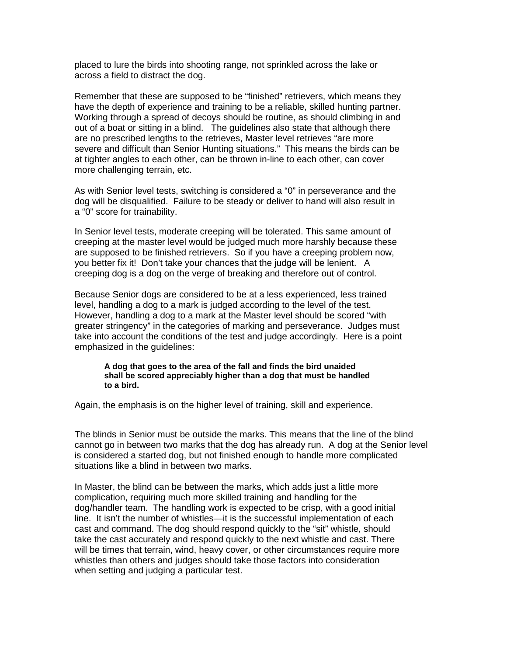placed to lure the birds into shooting range, not sprinkled across the lake or acrossafield to distract the dog.

Remember that these are supposed to be "finished" retrievers, which means they have the depth of experience and training to be areliable. Skilled hunting partner. Working through as pread of decoys should be routine, as should climbing in and out of a boat or sitting in a blind. The guidelines also state that although there are no prescri bed lengths to the retrieves, Master level retrieves "are more severeand difficult than Senior Hunting situations." This means the bird scan be attighter angles to each other, can be thrown in -line to each other, can cover more challenging terrain, etc.

As with Senior level tests, switching is considered a "0" in perseverance and the dog will be disqualified. Fail ure to be steady or deliver to hand will also result in a "0" score for trainability.

In Senior level tests, moderate creeping will be toler ated. This same amount of creeping at the master level would be judged much more harshly because these are supposed to be finished retrievers. So if you have acreeping problem now, youbetter fixit! Don't take your chances that the judge will be lenien t.A creeping dog is a dog on the verge of breaking and therefore out of control.

Because Senior dogs are considered to be at a less perienced, less trained level, handling adog to a mark is judged according to the level of the test. However, handl ing a dog to a mark at the Master levels hould be scored "with greater stringency" in the categories of marking and perseverance. Judges must take into account the conditions of the test and judge accordingly. Here is a point emphasized in the quidelines :

**A dog that goes to the area of the fall and finds the bird unaided shall be scored appreciably higher than a dog that must be handled to a bird.**

Again, the emphasis is on the higher level of training, skill and experience.

The blinds in Senior must b e outside the marks. This means that the line of the blind cannot go in between two marks that the dog has already run. A dog at the Senior level is considered a started dog, but not finished enough to handle more complicated situationslike a blind in be tween two marks.

In Master, the blind can be between the marks, which adds just a little more complication, requiring much more skilled training and handling for the dog/handlerteam. The handling work is expected to be crisp, with a good initial line. It isn't the number of whistles —it is the success full implementation of each cast and command. The dogshould respond quickly to the "sit" whistle, should take the cast accurately and respond quickly to the next whistle and cast. There will be times that te rrain, wind, heavy cover, or other circumstances require more whistles than other sand judges should take those factors into consideration when setting and judging a particular test.